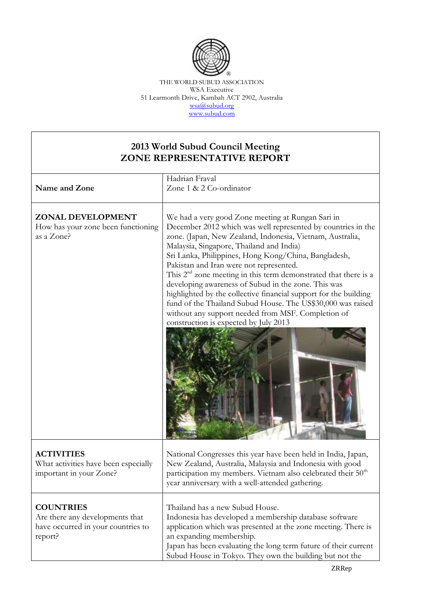

THE WORLD SUBUD ASSOCIATION WSA Executive 51 Learmonth Drive, Kambah ACT 2902, Australia [wsa@subud.org](mailto:wsa@subud.org) [www.subud.com](http://www.subud.com/)

## **2013 World Subud Council Meeting ZONE REPRESENTATIVE REPORT**

| Name and Zone                                                                                        | Hadrian Fraval<br>Zone 1 & 2 Co-ordinator                                                                                                                                                                                                                                                                                                                                                                                                                                                                                                                                                                                                                                                   |
|------------------------------------------------------------------------------------------------------|---------------------------------------------------------------------------------------------------------------------------------------------------------------------------------------------------------------------------------------------------------------------------------------------------------------------------------------------------------------------------------------------------------------------------------------------------------------------------------------------------------------------------------------------------------------------------------------------------------------------------------------------------------------------------------------------|
| ZONAL DEVELOPMENT<br>How has your zone been functioning<br>as a Zone?                                | We had a very good Zone meeting at Rungan Sari in<br>December 2012 which was well represented by countries in the<br>zone. (Japan, New Zealand, Indonesia, Vietnam, Australia,<br>Malaysia, Singapore, Thailand and India)<br>Sri Lanka, Philippines, Hong Kong/China, Bangladesh,<br>Pakistan and Iran were not represented.<br>This $2nd$ zone meeting in this term demonstrated that there is a<br>developing awareness of Subud in the zone. This was<br>highlighted by the collective financial support for the building<br>fund of the Thailand Subud House. The US\$30,000 was raised<br>without any support needed from MSF. Completion of<br>construction is expected by July 2013 |
| <b>ACTIVITIES</b><br>What activities have been especially<br>important in your Zone?                 | National Congresses this year have been held in India, Japan,<br>New Zealand, Australia, Malaysia and Indonesia with good<br>participation my members. Vietnam also celebrated their 50 <sup>th</sup><br>year anniversary with a well-attended gathering.                                                                                                                                                                                                                                                                                                                                                                                                                                   |
| <b>COUNTRIES</b><br>Are there any developments that<br>have occurred in your countries to<br>report? | Thailand has a new Subud House.<br>Indonesia has developed a membership database software<br>application which was presented at the zone meeting. There is<br>an expanding membership.<br>Japan has been evaluating the long term future of their current<br>Subud House in Tokyo. They own the building but not the                                                                                                                                                                                                                                                                                                                                                                        |